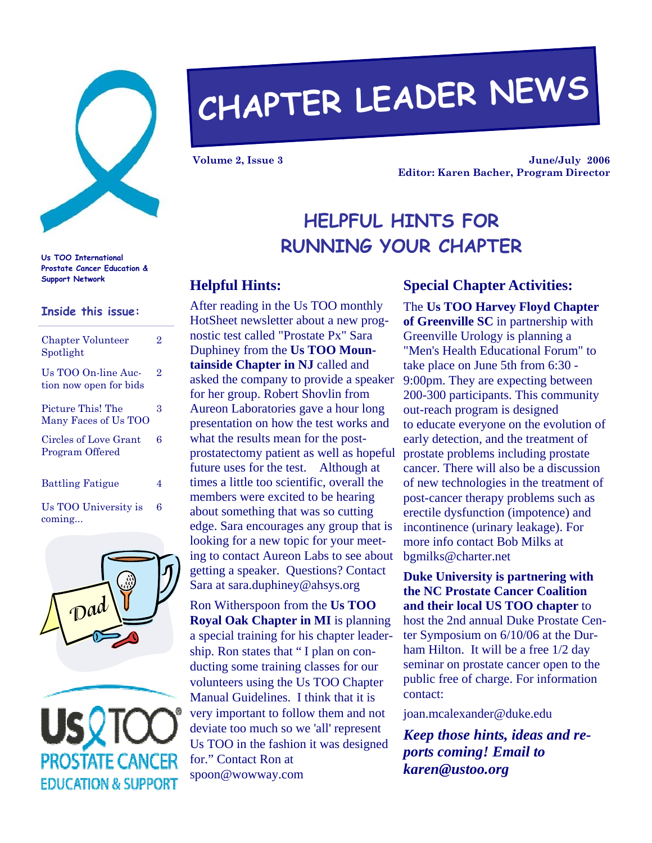

# **CHAPTER LEADER NEWS**

**Volume 2, Issue 3** 

**June/July 2006 Editor: Karen Bacher, Program Director** 

# **HELPFUL HINTS FOR RUNNING YOUR CHAPTER**

# **Support Network Helpful Hints:**

After reading in the Us TOO monthly HotSheet newsletter about a new prognostic test called "Prostate Px" Sara Duphiney from the **Us TOO Mountainside Chapter in NJ** called and asked the company to provide a speaker for her group. Robert Shovlin from Aureon Laboratories gave a hour long presentation on how the test works and what the results mean for the postprostatectomy patient as well as hopeful future uses for the test. Although at times a little too scientific, overall the members were excited to be hearing about something that was so cutting edge. Sara encourages any group that is looking for a new topic for your meeting to contact Aureon Labs to see about getting a speaker. Questions? Contact Sara at sara.duphiney@ahsys.org

Ron Witherspoon from the **Us TOO Royal Oak Chapter in MI** is planning a special training for his chapter leadership. Ron states that " I plan on conducting some training classes for our volunteers using the Us TOO Chapter Manual Guidelines. I think that it is very important to follow them and not deviate too much so we 'all' represent Us TOO in the fashion it was designed for." Contact Ron at spoon@wowway.com

## **Special Chapter Activities:**

The **Us TOO Harvey Floyd Chapter of Greenville SC** in partnership with Greenville Urology is planning a "Men's Health Educational Forum" to take place on June 5th from 6:30 - 9:00pm. They are expecting between 200-300 participants. This community out-reach program is designed to educate everyone on the evolution of early detection, and the treatment of prostate problems including prostate cancer. There will also be a discussion of new technologies in the treatment of post-cancer therapy problems such as erectile dysfunction (impotence) and incontinence (urinary leakage). For more info contact Bob Milks at bgmilks@charter.net

**Duke University is partnering with the NC Prostate Cancer Coalition and their local US TOO chapter** to host the 2nd annual Duke Prostate Center Symposium on 6/10/06 at the Durham Hilton. It will be a free 1/2 day seminar on prostate cancer open to the public free of charge. For information contact:

joan.mcalexander@duke.edu

*Keep those hints, ideas and reports coming! Email to karen@ustoo.org* 

**Us TOO International Prostate Cancer Education &** 

#### **Inside this issue:**

| <b>Chapter Volunteer</b><br>Spotlight         | $\overline{2}$ |
|-----------------------------------------------|----------------|
| Us TOO On-line Auc-<br>tion now open for bids | 2              |
| Picture This! The<br>Many Faces of Us TOO     | 3              |
| Circles of Love Grant<br>Program Offered      | 6              |
| <b>Battling Fatigue</b>                       | 4              |
| Us TOO University is                          | 6              |

coming...

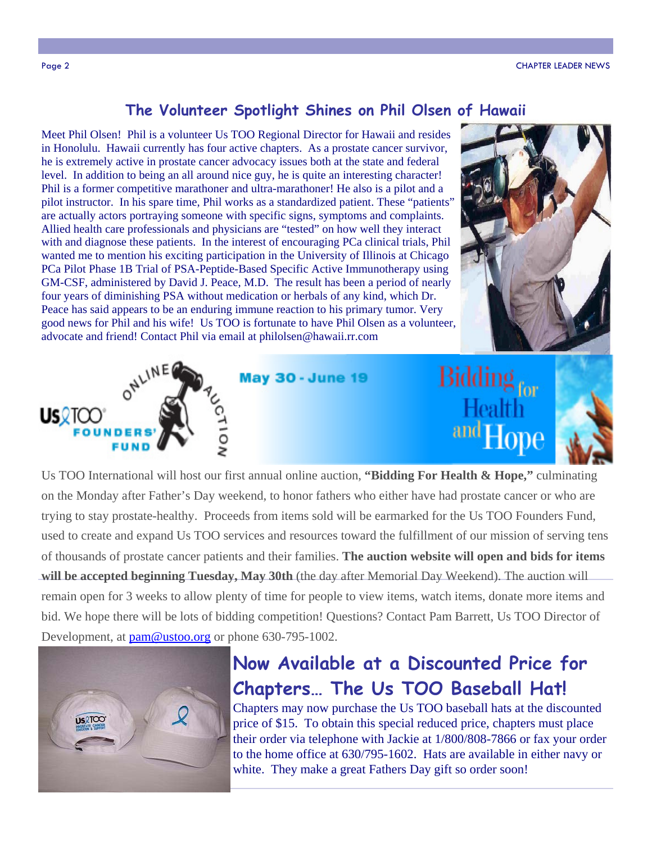### **The Volunteer Spotlight Shines on Phil Olsen of Hawaii**

Meet Phil Olsen! Phil is a volunteer Us TOO Regional Director for Hawaii and resides in Honolulu. Hawaii currently has four active chapters. As a prostate cancer survivor, he is extremely active in prostate cancer advocacy issues both at the state and federal level. In addition to being an all around nice guy, he is quite an interesting character! Phil is a former competitive marathoner and ultra-marathoner! He also is a pilot and a pilot instructor. In his spare time, Phil works as a standardized patient. These "patients" are actually actors portraying someone with specific signs, symptoms and complaints. Allied health care professionals and physicians are "tested" on how well they interact with and diagnose these patients. In the interest of encouraging PCa clinical trials, Phil wanted me to mention his exciting participation in the University of Illinois at Chicago PCa Pilot Phase 1B Trial of PSA-Peptide-Based Specific Active Immunotherapy using GM-CSF, administered by David J. Peace, M.D. The result has been a period of nearly four years of diminishing PSA without medication or herbals of any kind, which Dr. Peace has said appears to be an enduring immune reaction to his primary tumor. Very good news for Phil and his wife! Us TOO is fortunate to have Phil Olsen as a volunteer, advocate and friend! Contact Phil via email at philolsen@hawaii.rr.com





Us TOO International will host our first annual online auction, **"Bidding For Health & Hope,"** culminating on the Monday after Father's Day weekend, to honor fathers who either have had prostate cancer or who are trying to stay prostate-healthy. Proceeds from items sold will be earmarked for the Us TOO Founders Fund, used to create and expand Us TOO services and resources toward the fulfillment of our mission of serving tens of thousands of prostate cancer patients and their families. **The auction website will open and bids for items will be accepted beginning Tuesday, May 30th** (the day after Memorial Day Weekend). The auction will remain open for 3 weeks to allow plenty of time for people to view items, watch items, donate more items and bid. We hope there will be lots of bidding competition! Questions? Contact Pam Barrett, Us TOO Director of Development, at  $\text{pam@ustoo.org}$  or phone 630-795-1002.



# **Now Available at a Discounted Price for Chapters… The Us TOO Baseball Hat!**

Chapters may now purchase the Us TOO baseball hats at the discounted price of \$15. To obtain this special reduced price, chapters must place their order via telephone with Jackie at 1/800/808-7866 or fax your order to the home office at 630/795-1602. Hats are available in either navy or white. They make a great Fathers Day gift so order soon!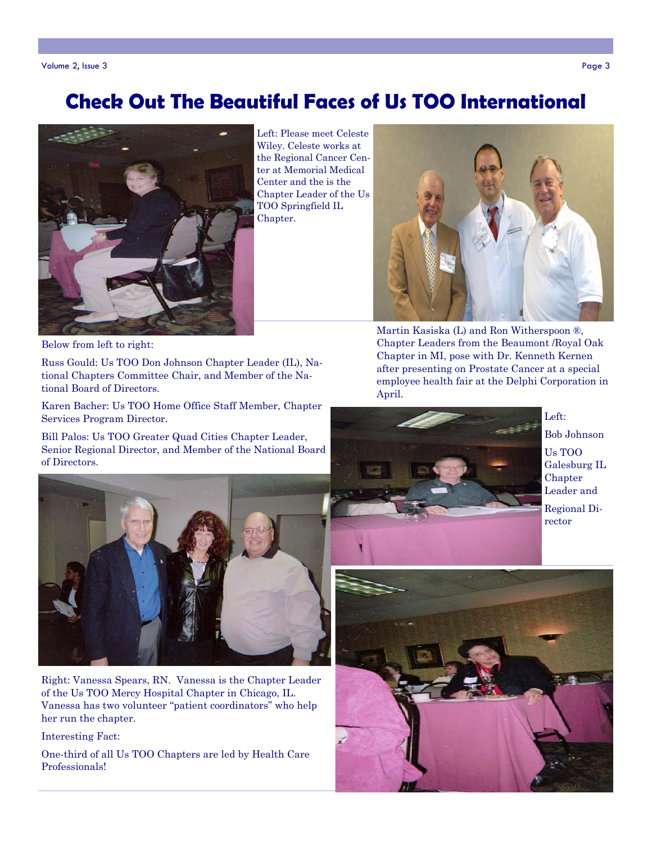# **Check Out The Beautiful Faces of Us TOO International**



Left: Please meet Celeste Wiley. Celeste works at the Regional Cancer Center at Memorial Medical Center and the is the Chapter Leader of the Us TOO Springfield IL Chapter.



Martin Kasiska (L) and Ron Witherspoon ®, Chapter Leaders from the Beaumont /Royal Oak Chapter in MI, pose with Dr. Kenneth Kernen after presenting on Prostate Cancer at a special employee health fair at the Delphi Corporation in April.



Left:

Bob Johnson

Us TOO Galesburg IL **Chapter** Leader and Regional Di-

rector

Below from left to right:

Russ Gould: Us TOO Don Johnson Chapter Leader (IL), National Chapters Committee Chair, and Member of the National Board of Directors.

Karen Bacher: Us TOO Home Office Staff Member, Chapter Services Program Director.

Bill Palos: Us TOO Greater Quad Cities Chapter Leader, Senior Regional Director, and Member of the National Board of Directors.



Right: Vanessa Spears, RN. Vanessa is the Chapter Leader of the Us TOO Mercy Hospital Chapter in Chicago, IL. Vanessa has two volunteer "patient coordinators" who help her run the chapter.

Interesting Fact:

One-third of all Us TOO Chapters are led by Health Care Professionals!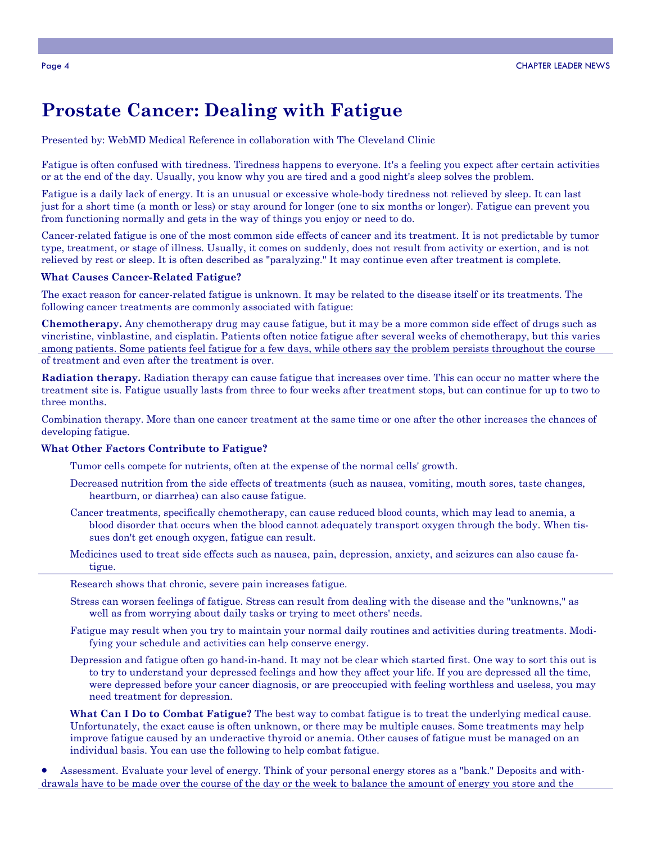## **Prostate Cancer: Dealing with Fatigue**

Presented by: WebMD Medical Reference in collaboration with The Cleveland Clinic

Fatigue is often confused with tiredness. Tiredness happens to everyone. It's a feeling you expect after certain activities or at the end of the day. Usually, you know why you are tired and a good night's sleep solves the problem.

Fatigue is a daily lack of energy. It is an unusual or excessive whole-body tiredness not relieved by sleep. It can last just for a short time (a month or less) or stay around for longer (one to six months or longer). Fatigue can prevent you from functioning normally and gets in the way of things you enjoy or need to do.

Cancer-related fatigue is one of the most common side effects of cancer and its treatment. It is not predictable by tumor type, treatment, or stage of illness. Usually, it comes on suddenly, does not result from activity or exertion, and is not relieved by rest or sleep. It is often described as "paralyzing." It may continue even after treatment is complete.

#### **What Causes Cancer-Related Fatigue?**

The exact reason for cancer-related fatigue is unknown. It may be related to the disease itself or its treatments. The following cancer treatments are commonly associated with fatigue:

**Chemotherapy.** Any chemotherapy drug may cause fatigue, but it may be a more common side effect of drugs such as vincristine, vinblastine, and cisplatin. Patients often notice fatigue after several weeks of chemotherapy, but this varies among patients. Some patients feel fatigue for a few days, while others say the problem persists throughout the course of treatment and even after the treatment is over.

**Radiation therapy.** Radiation therapy can cause fatigue that increases over time. This can occur no matter where the treatment site is. Fatigue usually lasts from three to four weeks after treatment stops, but can continue for up to two to three months.

Combination therapy. More than one cancer treatment at the same time or one after the other increases the chances of developing fatigue.

#### **What Other Factors Contribute to Fatigue?**

- Tumor cells compete for nutrients, often at the expense of the normal cells' growth.
- Decreased nutrition from the side effects of treatments (such as nausea, vomiting, mouth sores, taste changes, heartburn, or diarrhea) can also cause fatigue.
- Cancer treatments, specifically chemotherapy, can cause reduced blood counts, which may lead to anemia, a blood disorder that occurs when the blood cannot adequately transport oxygen through the body. When tissues don't get enough oxygen, fatigue can result.
- Medicines used to treat side effects such as nausea, pain, depression, anxiety, and seizures can also cause fatigue.

Research shows that chronic, severe pain increases fatigue.

- Stress can worsen feelings of fatigue. Stress can result from dealing with the disease and the "unknowns," as well as from worrying about daily tasks or trying to meet others' needs.
- Fatigue may result when you try to maintain your normal daily routines and activities during treatments. Modifying your schedule and activities can help conserve energy.
- Depression and fatigue often go hand-in-hand. It may not be clear which started first. One way to sort this out is to try to understand your depressed feelings and how they affect your life. If you are depressed all the time, were depressed before your cancer diagnosis, or are preoccupied with feeling worthless and useless, you may need treatment for depression.

**What Can I Do to Combat Fatigue?** The best way to combat fatigue is to treat the underlying medical cause. Unfortunately, the exact cause is often unknown, or there may be multiple causes. Some treatments may help improve fatigue caused by an underactive thyroid or anemia. Other causes of fatigue must be managed on an individual basis. You can use the following to help combat fatigue.

• Assessment. Evaluate your level of energy. Think of your personal energy stores as a "bank." Deposits and withdrawals have to be made over the course of the day or the week to balance the amount of energy you store and the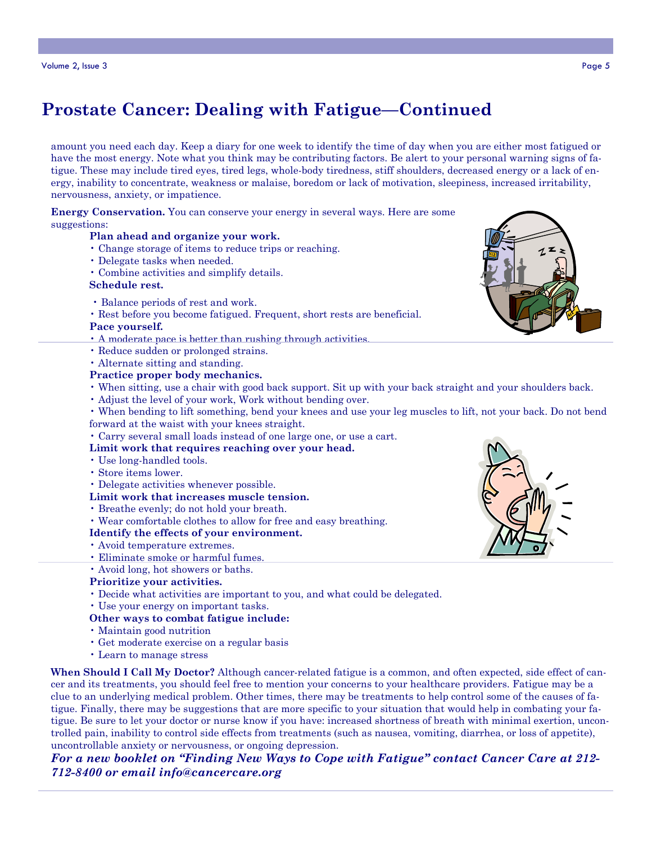# **Prostate Cancer: Dealing with Fatigue—Continued**

amount you need each day. Keep a diary for one week to identify the time of day when you are either most fatigued or have the most energy. Note what you think may be contributing factors. Be alert to your personal warning signs of fatigue. These may include tired eyes, tired legs, whole-body tiredness, stiff shoulders, decreased energy or a lack of energy, inability to concentrate, weakness or malaise, boredom or lack of motivation, sleepiness, increased irritability, nervousness, anxiety, or impatience.

**Energy Conservation.** You can conserve your energy in several ways. Here are some suggestions:

#### **Plan ahead and organize your work.**

- Change storage of items to reduce trips or reaching.
- Delegate tasks when needed.
- Combine activities and simplify details.

#### **Schedule rest.**

- Balance periods of rest and work.
- Rest before you become fatigued. Frequent, short rests are beneficial.

#### **Pace yourself.**

- A moderate pace is better than rushing through activities.
- Reduce sudden or prolonged strains.
- Alternate sitting and standing.

#### **Practice proper body mechanics.**

- When sitting, use a chair with good back support. Sit up with your back straight and your shoulders back.
- Adjust the level of your work, Work without bending over.
- When bending to lift something, bend your knees and use your leg muscles to lift, not your back. Do not bend forward at the waist with your knees straight.
- Carry several small loads instead of one large one, or use a cart.
- **Limit work that requires reaching over your head.**
- Use long-handled tools.
- Store items lower.
- Delegate activities whenever possible.
- **Limit work that increases muscle tension.**
- Breathe evenly; do not hold your breath.
- Wear comfortable clothes to allow for free and easy breathing.

#### **Identify the effects of your environment.**

- Avoid temperature extremes.
- Eliminate smoke or harmful fumes.
- Avoid long, hot showers or baths.
- **Prioritize your activities.**
- Decide what activities are important to you, and what could be delegated.
- Use your energy on important tasks.

#### **Other ways to combat fatigue include:**

- Maintain good nutrition
- Get moderate exercise on a regular basis
- Learn to manage stress

**When Should I Call My Doctor?** Although cancer-related fatigue is a common, and often expected, side effect of cancer and its treatments, you should feel free to mention your concerns to your healthcare providers. Fatigue may be a clue to an underlying medical problem. Other times, there may be treatments to help control some of the causes of fatigue. Finally, there may be suggestions that are more specific to your situation that would help in combating your fatigue. Be sure to let your doctor or nurse know if you have: increased shortness of breath with minimal exertion, uncontrolled pain, inability to control side effects from treatments (such as nausea, vomiting, diarrhea, or loss of appetite), uncontrollable anxiety or nervousness, or ongoing depression.

*For a new booklet on "Finding New Ways to Cope with Fatigue" contact Cancer Care at 212- 712-8400 or email info@cancercare.org*